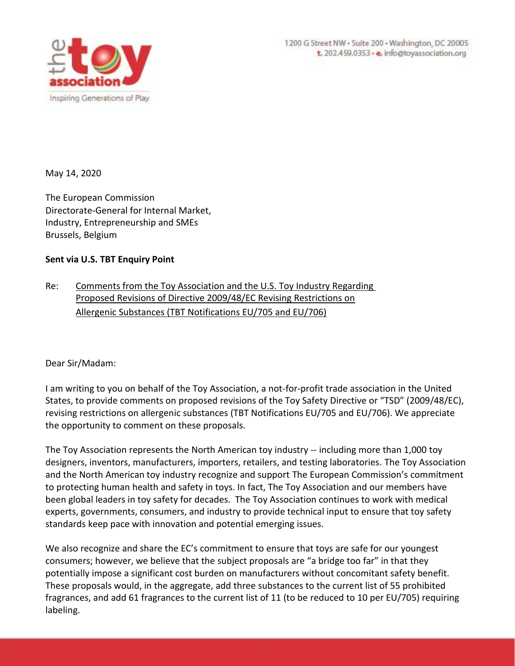

May 14, 2020

The European Commission Directorate-General for Internal Market, Industry, Entrepreneurship and SMEs Brussels, Belgium

## **Sent via U.S. TBT Enquiry Point**

Re: Comments from the Toy Association and the U.S. Toy Industry Regarding Proposed Revisions of Directive 2009/48/EC Revising Restrictions on Allergenic Substances (TBT Notifications EU/705 and EU/706)

Dear Sir/Madam:

I am writing to you on behalf of the Toy Association, a not-for-profit trade association in the United States, to provide comments on proposed revisions of the Toy Safety Directive or "TSD" (2009/48/EC), revising restrictions on allergenic substances (TBT Notifications EU/705 and EU/706). We appreciate the opportunity to comment on these proposals.

The Toy Association represents the North American toy industry -- including more than 1,000 toy designers, inventors, manufacturers, importers, retailers, and testing laboratories. The Toy Association and the North American toy industry recognize and support The European Commission's commitment to protecting human health and safety in toys. In fact, The Toy Association and our members have been global leaders in toy safety for decades. The Toy Association continues to work with medical experts, governments, consumers, and industry to provide technical input to ensure that toy safety standards keep pace with innovation and potential emerging issues.

We also recognize and share the EC's commitment to ensure that toys are safe for our youngest consumers; however, we believe that the subject proposals are "a bridge too far" in that they potentially impose a significant cost burden on manufacturers without concomitant safety benefit. These proposals would, in the aggregate, add three substances to the current list of 55 prohibited fragrances, and add 61 fragrances to the current list of 11 (to be reduced to 10 per EU/705) requiring labeling.